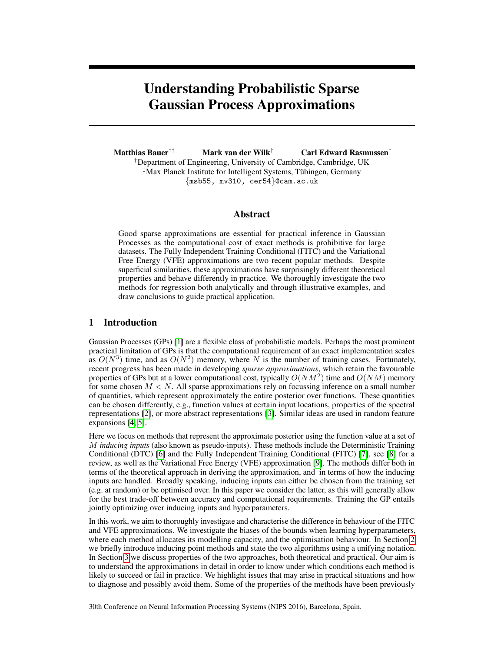# Understanding Probabilistic Sparse Gaussian Process Approximations

Matthias Bauer†‡ Mark van der Wilk† Carl Edward Rasmussen† †Department of Engineering, University of Cambridge, Cambridge, UK ‡Max Planck Institute for Intelligent Systems, Tubingen, Germany ¨ {msb55, mv310, cer54}@cam.ac.uk

# Abstract

Good sparse approximations are essential for practical inference in Gaussian Processes as the computational cost of exact methods is prohibitive for large datasets. The Fully Independent Training Conditional (FITC) and the Variational Free Energy (VFE) approximations are two recent popular methods. Despite superficial similarities, these approximations have surprisingly different theoretical properties and behave differently in practice. We thoroughly investigate the two methods for regression both analytically and through illustrative examples, and draw conclusions to guide practical application.

# 1 Introduction

Gaussian Processes (GPs) [1] are a flexible class of probabilistic models. Perhaps the most prominent practical limitation of GPs is that the computational requirement of an exact implementation scales as  $O(N^3)$  time, and as  $O(N^2)$  memory, where N is the number of training cases. Fortunately, recent progress has been made in developing *sparse approximations*, which retain the favourable properties of GPs but at a lower computational cost, typically  $O(NM^2)$  time and  $O(NM)$  memory for some chosen  $M < N$ . All sparse approximations rely on focussing inference on a small number of quantities, which represent approximately the entire posterior over functions. These quantities can be chosen differently, e.g., function values at certain input locations, properties of the spectral representations [2], or more abstract representations [3]. Similar ideas are used in random feature expansions [4, 5].

Here we focus on methods that represent the approximate posterior using the function value at a set of M *inducing inputs* (also known as pseudo-inputs). These methods include the Deterministic Training Conditional (DTC) [6] and the Fully Independent Training Conditional (FITC) [7], see [8] for a review, as well as the Variational Free Energy (VFE) approximation [9]. The methods differ both in terms of the theoretical approach in deriving the approximation, and in terms of how the inducing inputs are handled. Broadly speaking, inducing inputs can either be chosen from the training set (e.g. at random) or be optimised over. In this paper we consider the latter, as this will generally allow for the best trade-off between accuracy and computational requirements. Training the GP entails jointly optimizing over inducing inputs and hyperparameters.

In this work, we aim to thoroughly investigate and characterise the difference in behaviour of the FITC and VFE approximations. We investigate the biases of the bounds when learning hyperparameters, where each method allocates its modelling capacity, and the optimisation behaviour. In Section 2 we briefly introduce inducing point methods and state the two algorithms using a unifying notation. In Section 3 we discuss properties of the two approaches, both theoretical and practical. Our aim is to understand the approximations in detail in order to know under which conditions each method is likely to succeed or fail in practice. We highlight issues that may arise in practical situations and how to diagnose and possibly avoid them. Some of the properties of the methods have been previously

30th Conference on Neural Information Processing Systems (NIPS 2016), Barcelona, Spain.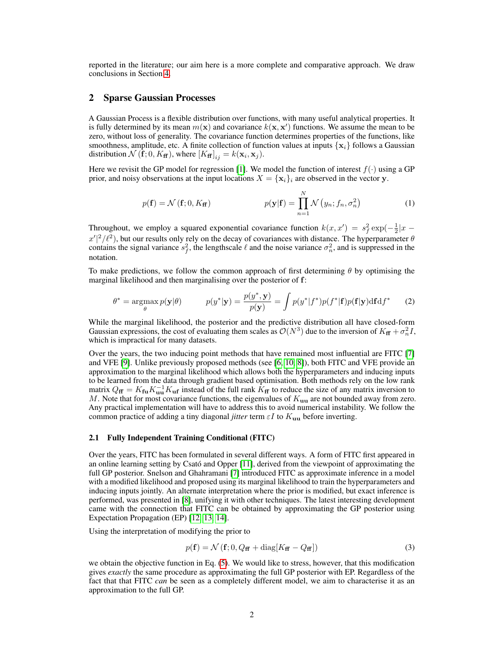reported in the literature; our aim here is a more complete and comparative approach. We draw conclusions in Section 4.

## 2 Sparse Gaussian Processes

A Gaussian Process is a flexible distribution over functions, with many useful analytical properties. It is fully determined by its mean  $m(\mathbf{x})$  and covariance  $k(\mathbf{x}, \mathbf{x}')$  functions. We assume the mean to be zero, without loss of generality. The covariance function determines properties of the functions, like smoothness, amplitude, etc. A finite collection of function values at inputs  $\{x_i\}$  follows a Gaussian distribution  $\mathcal{N}(\mathbf{f}; 0, K_{\mathbf{f} \mathbf{f}})$ , where  $[K_{\mathbf{f} \mathbf{f}}]_{ij} = k(\mathbf{x}_i, \mathbf{x}_j)$ .

Here we revisit the GP model for regression [1]. We model the function of interest  $f(\cdot)$  using a GP prior, and noisy observations at the input locations  $X = \{x_i\}_i$  are observed in the vector y.

$$
p(\mathbf{f}) = \mathcal{N}(\mathbf{f}; 0, K_{\mathbf{f}})
$$
 
$$
p(\mathbf{y}|\mathbf{f}) = \prod_{n=1}^{N} \mathcal{N}(y_n; f_n, \sigma_n^2)
$$
 (1)

Throughout, we employ a squared exponential covariance function  $k(x, x') = s_f^2 \exp(-\frac{1}{2}|x \frac{x}{2}\ell^2$ , but our results only rely on the decay of covariances with distance. The hyperparameter  $\theta$ contains the signal variance  $s_f^2$ , the lengthscale  $\ell$  and the noise variance  $\sigma_n^2$ , and is suppressed in the notation.

To make predictions, we follow the common approach of first determining  $\theta$  by optimising the marginal likelihood and then marginalising over the posterior of f:

$$
\theta^* = \underset{\theta}{\operatorname{argmax}} p(\mathbf{y}|\theta) \qquad p(y^*|\mathbf{y}) = \frac{p(y^*, \mathbf{y})}{p(\mathbf{y})} = \int p(y^*|f^*)p(f^*|\mathbf{f})p(\mathbf{f}|\mathbf{y})\mathrm{d}\mathbf{f}\mathrm{d}f^* \qquad (2)
$$

While the marginal likelihood, the posterior and the predictive distribution all have closed-form Gaussian expressions, the cost of evaluating them scales as  $\mathcal{O}(N^3)$  due to the inversion of  $K_{\bf ff} + \sigma_n^2 I$ , which is impractical for many datasets.

Over the years, the two inducing point methods that have remained most influential are FITC [7] and VFE [9]. Unlike previously proposed methods (see [6, 10, 8]), both FITC and VFE provide an approximation to the marginal likelihood which allows both the hyperparameters and inducing inputs to be learned from the data through gradient based optimisation. Both methods rely on the low rank matrix  $Q_{\bf f f} = K_{\bf f u} K_{\bf u u}^{-1} K_{\bf u f}$  instead of the full rank  $K_{\bf f f}$  to reduce the size of any matrix inversion to M. Note that for most covariance functions, the eigenvalues of  $K_{uu}$  are not bounded away from zero. Any practical implementation will have to address this to avoid numerical instability. We follow the common practice of adding a tiny diagonal *jitter* term  $\varepsilon I$  to  $K_{uu}$  before inverting.

## 2.1 Fully Independent Training Conditional (FITC)

Over the years, FITC has been formulated in several different ways. A form of FITC first appeared in an online learning setting by Csato and Opper [11], derived from the viewpoint of approximating the full GP posterior. Snelson and Ghahramani [7] introduced FITC as approximate inference in a model with a modified likelihood and proposed using its marginal likelihood to train the hyperparameters and inducing inputs jointly. An alternate interpretation where the prior is modified, but exact inference is performed, was presented in [8], unifying it with other techniques. The latest interesting development came with the connection that FITC can be obtained by approximating the GP posterior using Expectation Propagation (EP) [12, 13, 14].

Using the interpretation of modifying the prior to

$$
p(\mathbf{f}) = \mathcal{N}\left(\mathbf{f}; 0, Q_{\mathbf{f}\mathbf{f}} + \text{diag}[K_{\mathbf{f}\mathbf{f}} - Q_{\mathbf{f}\mathbf{f}}]\right)
$$
(3)

we obtain the objective function in Eq. (5). We would like to stress, however, that this modification gives *exactly* the same procedure as approximating the full GP posterior with EP. Regardless of the fact that that FITC *can* be seen as a completely different model, we aim to characterise it as an approximation to the full GP.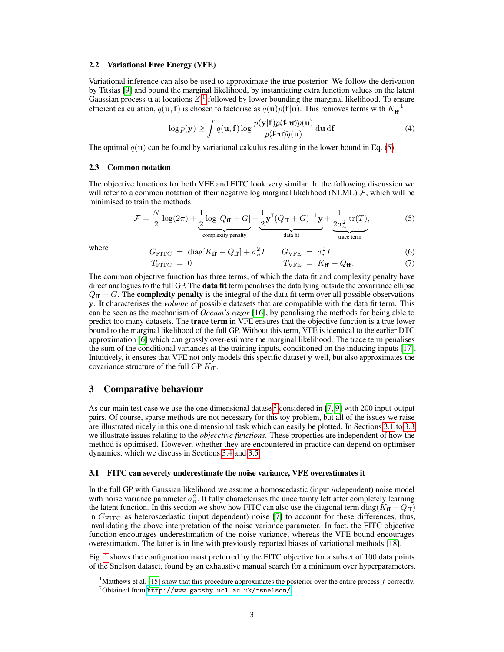#### 2.2 Variational Free Energy (VFE)

Variational inference can also be used to approximate the true posterior. We follow the derivation by Titsias [9] and bound the marginal likelihood, by instantiating extra function values on the latent Gaussian process u at locations  $Z$ ,<sup>1</sup> followed by lower bounding the marginal likelihood. To ensure efficient calculation,  $q(\mathbf{u}, \mathbf{f})$  is chosen to factorise as  $q(\mathbf{u})p(\mathbf{f}|\mathbf{u})$ . This removes terms with  $K_{\mathbf{ff}}^{-1}$ :

$$
\log p(\mathbf{y}) \ge \int q(\mathbf{u}, \mathbf{f}) \log \frac{p(\mathbf{y}|\mathbf{f})p(\mathbf{f}|\mathbf{u})p(\mathbf{u})}{p(\mathbf{f}|\mathbf{u})q(\mathbf{u})} d\mathbf{u} d\mathbf{f}
$$
(4)

The optimal  $q(\mathbf{u})$  can be found by variational calculus resulting in the lower bound in Eq. (5).

## 2.3 Common notation

The objective functions for both VFE and FITC look very similar. In the following discussion we will refer to a common notation of their negative log marginal likelihood (NLML)  $\mathcal{F}$ , which will be minimised to train the methods:

$$
\mathcal{F} = \frac{N}{2}\log(2\pi) + \underbrace{\frac{1}{2}\log|Q_{\mathbf{f}\mathbf{f}} + G|}_{\text{complexity penalty}} + \underbrace{\frac{1}{2}\mathbf{y}^{\mathsf{T}}(Q_{\mathbf{f}\mathbf{f}} + G)^{-1}\mathbf{y}}_{\text{data fit}} + \underbrace{\frac{1}{2\sigma_n^2}\operatorname{tr}(T)}_{\text{trace term}},
$$
(5)

where 
$$
G_{\text{FITC}} = \text{diag}[K_{\mathbf{f}\mathbf{f}} - Q_{\mathbf{f}\mathbf{f}}] + \sigma_n^2 I
$$
  $G_{\text{VFE}} = \sigma_n^2 I$  (6)

$$
T_{\text{FITC}} = 0 \qquad T_{\text{VFE}} = K_{\mathbf{ff}} - Q_{\mathbf{ff}}. \tag{7}
$$

The common objective function has three terms, of which the data fit and complexity penalty have direct analogues to the full GP. The **data fit** term penalises the data lying outside the covariance ellipse  $Q_{\bf f\bf f} + G$ . The **complexity penalty** is the integral of the data fit term over all possible observations y. It characterises the *volume* of possible datasets that are compatible with the data fit term. This can be seen as the mechanism of *Occam's razor* [16], by penalising the methods for being able to predict too many datasets. The trace term in VFE ensures that the objective function is a true lower bound to the marginal likelihood of the full GP. Without this term, VFE is identical to the earlier DTC approximation [6] which can grossly over-estimate the marginal likelihood. The trace term penalises the sum of the conditional variances at the training inputs, conditioned on the inducing inputs [17]. Intuitively, it ensures that VFE not only models this specific dataset y well, but also approximates the covariance structure of the full GP  $K_{\bf ff}$ .

## 3 Comparative behaviour

As our main test case we use the one dimensional dataset<sup>2</sup> considered in [7, 9] with 200 input-output pairs. Of course, sparse methods are not necessary for this toy problem, but all of the issues we raise are illustrated nicely in this one dimensional task which can easily be plotted. In Sections 3.1 to 3.3 we illustrate issues relating to the *objecctive functions*. These properties are independent of how the method is optimised. However, whether they are encountered in practice can depend on optimiser dynamics, which we discuss in Sections 3.4 and 3.5.

#### 3.1 FITC can severely underestimate the noise variance, VFE overestimates it

In the full GP with Gaussian likelihood we assume a homoscedastic (input *in*dependent) noise model with noise variance parameter  $\sigma_n^2$ . It fully characterises the uncertainty left after completely learning the latent function. In this section we show how FITC can also use the diagonal term  $\text{diag}(K_{\text{ff}} - Q_{\text{ff}})$ in  $G_{\text{FITC}}$  as heteroscedastic (input dependent) noise [7] to account for these differences, thus, invalidating the above interpretation of the noise variance parameter. In fact, the FITC objective function encourages underestimation of the noise variance, whereas the VFE bound encourages overestimation. The latter is in line with previously reported biases of variational methods [18].

Fig. 1 shows the configuration most preferred by the FITC objective for a subset of 100 data points of the Snelson dataset, found by an exhaustive manual search for a minimum over hyperparameters,

<sup>1</sup>Matthews et al. [15] show that this procedure approximates the posterior over the entire process f correctly. <sup>2</sup>Obtained from <http://www.gatsby.ucl.ac.uk/~snelson/>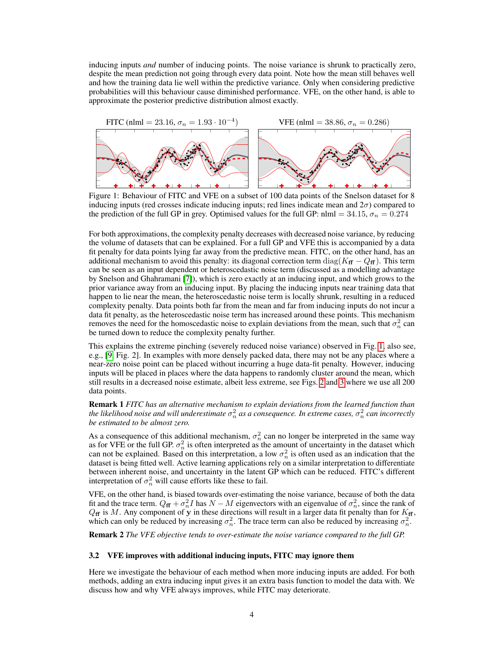inducing inputs *and* number of inducing points. The noise variance is shrunk to practically zero, despite the mean prediction not going through every data point. Note how the mean still behaves well and how the training data lie well within the predictive variance. Only when considering predictive probabilities will this behaviour cause diminished performance. VFE, on the other hand, is able to approximate the posterior predictive distribution almost exactly.



Figure 1: Behaviour of FITC and VFE on a subset of 100 data points of the Snelson dataset for 8 inducing inputs (red crosses indicate inducing inputs; red lines indicate mean and  $2\sigma$ ) compared to the prediction of the full GP in grey. Optimised values for the full GP: nlml = 34.15,  $\sigma_n = 0.274$ 

For both approximations, the complexity penalty decreases with decreased noise variance, by reducing the volume of datasets that can be explained. For a full GP and VFE this is accompanied by a data fit penalty for data points lying far away from the predictive mean. FITC, on the other hand, has an additional mechanism to avoid this penalty: its diagonal correction term diag( $K_{\bf f} - Q_{\bf f}$ ). This term can be seen as an input dependent or heteroscedastic noise term (discussed as a modelling advantage by Snelson and Ghahramani [7]), which is zero exactly at an inducing input, and which grows to the prior variance away from an inducing input. By placing the inducing inputs near training data that happen to lie near the mean, the heteroscedastic noise term is locally shrunk, resulting in a reduced complexity penalty. Data points both far from the mean and far from inducing inputs do not incur a data fit penalty, as the heteroscedastic noise term has increased around these points. This mechanism removes the need for the homoscedastic noise to explain deviations from the mean, such that  $\sigma_n^2$  can be turned down to reduce the complexity penalty further.

This explains the extreme pinching (severely reduced noise variance) observed in Fig. 1, also see, e.g., [9, Fig. 2]. In examples with more densely packed data, there may not be any places where a near-zero noise point can be placed without incurring a huge data-fit penalty. However, inducing inputs will be placed in places where the data happens to randomly cluster around the mean, which still results in a decreased noise estimate, albeit less extreme, see Figs. 2 and 3 where we use all 200 data points.

Remark 1 *FITC has an alternative mechanism to explain deviations from the learned function than* the likelihood noise and will underestimate  $\sigma_n^2$  as a consequence. In extreme cases,  $\sigma_n^2$  can incorrectly *be estimated to be almost zero.*

As a consequence of this additional mechanism,  $\sigma_n^2$  can no longer be interpreted in the same way as for VFE or the full GP.  $\sigma_n^2$  is often interpreted as the amount of uncertainty in the dataset which can not be explained. Based on this interpretation, a low  $\sigma_n^2$  is often used as an indication that the dataset is being fitted well. Active learning applications rely on a similar interpretation to differentiate between inherent noise, and uncertainty in the latent GP which can be reduced. FITC's different interpretation of  $\sigma_n^2$  will cause efforts like these to fail.

VFE, on the other hand, is biased towards over-estimating the noise variance, because of both the data fit and the trace term.  $Q_{\bf f} + \sigma_n^2 I$  has  $N - M$  eigenvectors with an eigenvalue of  $\sigma_n^2$ , since the rank of  $Q_{\bf f\bf f}$  is M. Any component of y in these directions will result in a larger data fit penalty than for  $K_{\bf f\bf f}$ , which can only be reduced by increasing  $\sigma_n^2$ . The trace term can also be reduced by increasing  $\sigma_n^2$ .

Remark 2 *The VFE objective tends to over-estimate the noise variance compared to the full GP.*

## 3.2 VFE improves with additional inducing inputs, FITC may ignore them

Here we investigate the behaviour of each method when more inducing inputs are added. For both methods, adding an extra inducing input gives it an extra basis function to model the data with. We discuss how and why VFE always improves, while FITC may deteriorate.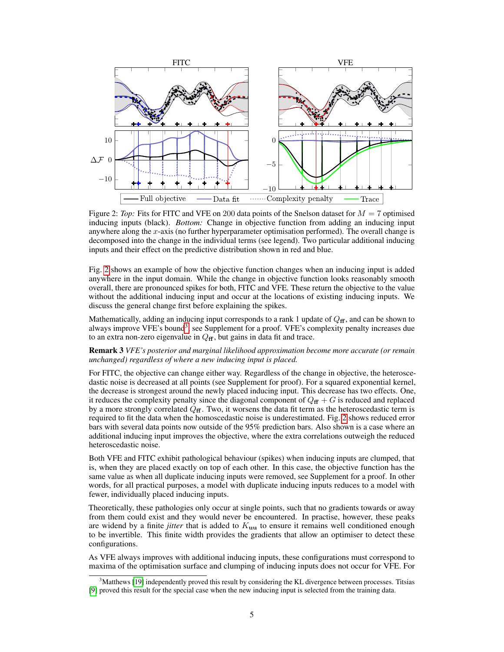

Figure 2: *Top:* Fits for FITC and VFE on 200 data points of the Snelson dataset for  $M = 7$  optimised inducing inputs (black). *Bottom:* Change in objective function from adding an inducing input anywhere along the x-axis (no further hyperparameter optimisation performed). The overall change is decomposed into the change in the individual terms (see legend). Two particular additional inducing inputs and their effect on the predictive distribution shown in red and blue.

Fig. 2 shows an example of how the objective function changes when an inducing input is added anywhere in the input domain. While the change in objective function looks reasonably smooth overall, there are pronounced spikes for both, FITC and VFE. These return the objective to the value without the additional inducing input and occur at the locations of existing inducing inputs. We discuss the general change first before explaining the spikes.

Mathematically, adding an inducing input corresponds to a rank 1 update of  $Q_{\bf f}$ , and can be shown to always improve VFE's bound<sup>3</sup>, see Supplement for a proof. VFE's complexity penalty increases due to an extra non-zero eigenvalue in  $Q_{\bf f}$ , but gains in data fit and trace.

Remark 3 *VFE's posterior and marginal likelihood approximation become more accurate (or remain unchanged) regardless of where a new inducing input is placed.*

For FITC, the objective can change either way. Regardless of the change in objective, the heteroscedastic noise is decreased at all points (see Supplement for proof). For a squared exponential kernel, the decrease is strongest around the newly placed inducing input. This decrease has two effects. One, it reduces the complexity penalty since the diagonal component of  $Q_f + G$  is reduced and replaced by a more strongly correlated  $Q_f$ . Two, it worsens the data fit term as the heteroscedastic term is required to fit the data when the homoscedastic noise is underestimated. Fig. 2 shows reduced error bars with several data points now outside of the 95% prediction bars. Also shown is a case where an additional inducing input improves the objective, where the extra correlations outweigh the reduced heteroscedastic noise.

Both VFE and FITC exhibit pathological behaviour (spikes) when inducing inputs are clumped, that is, when they are placed exactly on top of each other. In this case, the objective function has the same value as when all duplicate inducing inputs were removed, see Supplement for a proof. In other words, for all practical purposes, a model with duplicate inducing inputs reduces to a model with fewer, individually placed inducing inputs.

Theoretically, these pathologies only occur at single points, such that no gradients towards or away from them could exist and they would never be encountered. In practise, however, these peaks are widend by a finite *jitter* that is added to  $K<sub>uu</sub>$  to ensure it remains well conditioned enough to be invertible. This finite width provides the gradients that allow an optimiser to detect these configurations.

As VFE always improves with additional inducing inputs, these configurations must correspond to maxima of the optimisation surface and clumping of inducing inputs does not occur for VFE. For

<sup>&</sup>lt;sup>3</sup>Matthews [19] independently proved this result by considering the KL divergence between processes. Titsias [9] proved this result for the special case when the new inducing input is selected from the training data.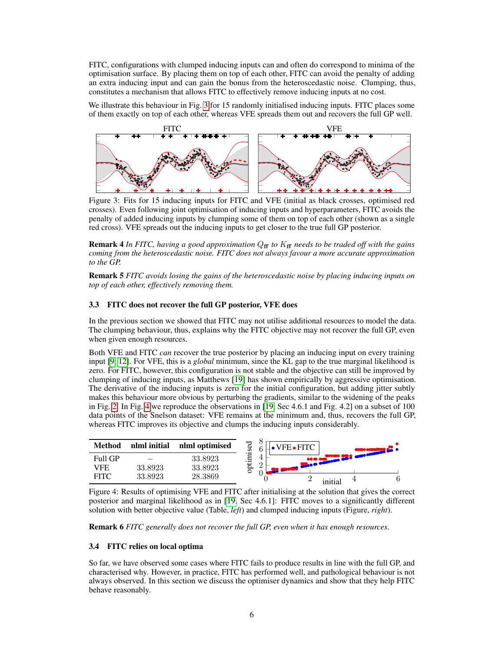FITC, configurations with clumped inducing inputs can and often do correspond to minima of the optimisation surface. By placing them on top of each other, FITC can avoid the penalty of adding an extra inducing input and can gain the bonus from the heteroscedastic noise. Clumping, thus, constitutes a mechanism that allows FITC to effectively remove inducing inputs at no cost.

We illustrate this behaviour in Fig. 3 for 15 randomly initialised inducing inputs. FITC places some of them exactly on top of each other, whereas VFE spreads them out and recovers the full GP well.



Figure 3: Fits for 15 inducing inputs for FITC and VFE (initial as black crosses, optimised red crosses). Even following joint optimisation of inducing inputs and hyperparameters, FITC avoids the penalty of added inducing inputs by clumping some of them on top of each other (shown as a single red cross). VFE spreads out the inducing inputs to get closer to the true full GP posterior.

Remark 4 *In FITC, having a good approximation*  $Q_f$  *to*  $K_f$  *needs to be traded off with the gains coming from the heteroscedastic noise. FITC does not always favour a more accurate approximation to the GP.*

Remark 5 *FITC avoids losing the gains of the heteroscedastic noise by placing inducing inputs on top of each other, effectively removing them.*

## 3.3 FITC does not recover the full GP posterior, VFE does

In the previous section we showed that FITC may not utilise additional resources to model the data. The clumping behaviour, thus, explains why the FITC objective may not recover the full GP, even when given enough resources.

Both VFE and FITC *can* recover the true posterior by placing an inducing input on every training input [9, 12]. For VFE, this is a *global* minimum, since the KL gap to the true marginal likelihood is zero. For FITC, however, this configuration is not stable and the objective can still be improved by clumping of inducing inputs, as Matthews [19] has shown empirically by aggressive optimisation. The derivative of the inducing inputs is zero for the initial configuration, but adding jitter subtly makes this behaviour more obvious by perturbing the gradients, similar to the widening of the peaks in Fig. 2. In Fig. 4 we reproduce the observations in [19, Sec 4.6.1 and Fig. 4.2] on a subset of 100 data points of the Snelson dataset: VFE remains at the minimum and, thus, recovers the full GP, whereas FITC improves its objective and clumps the inducing inputs considerably.



Figure 4: Results of optimising VFE and FITC after initialising at the solution that gives the correct posterior and marginal likelihood as in [19, Sec 4.6.1]: FITC moves to a significantly different solution with better objective value (Table, *left*) and clumped inducing inputs (Figure, *right*).

Remark 6 *FITC generally does not recover the full GP, even when it has enough resources.*

## 3.4 FITC relies on local optima

So far, we have observed some cases where FITC fails to produce results in line with the full GP, and characterised why. However, in practice, FITC has performed well, and pathological behaviour is not always observed. In this section we discuss the optimiser dynamics and show that they help FITC behave reasonably.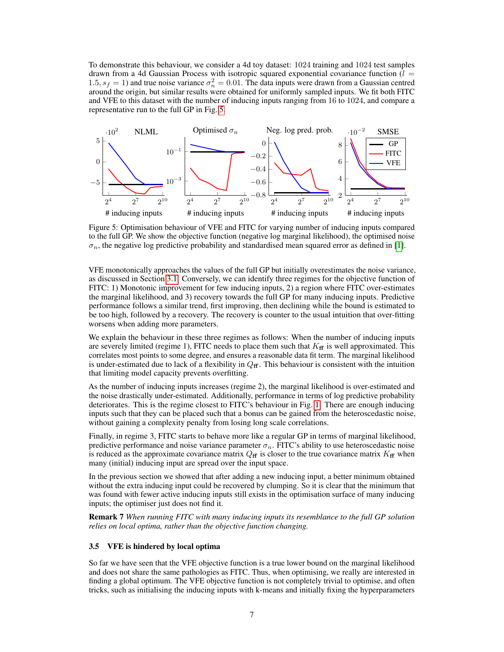To demonstrate this behaviour, we consider a 4d toy dataset: 1024 training and 1024 test samples drawn from a 4d Gaussian Process with isotropic squared exponential covariance function  $(l =$ 1.5,  $s_f = 1$ ) and true noise variance  $\sigma_n^2 = 0.01$ . The data inputs were drawn from a Gaussian centred around the origin, but similar results were obtained for uniformly sampled inputs. We fit both FITC and VFE to this dataset with the number of inducing inputs ranging from 16 to 1024, and compare a representative run to the full GP in Fig. 5.



Figure 5: Optimisation behaviour of VFE and FITC for varying number of inducing inputs compared to the full GP. We show the objective function (negative log marginal likelihood), the optimised noise  $\sigma_n$ , the negative log predictive probability and standardised mean squared error as defined in [1].

VFE monotonically approaches the values of the full GP but initially overestimates the noise variance, as discussed in Section 3.1. Conversely, we can identify three regimes for the objective function of FITC: 1) Monotonic improvement for few inducing inputs, 2) a region where FITC over-estimates the marginal likelihood, and 3) recovery towards the full GP for many inducing inputs. Predictive performance follows a similar trend, first improving, then declining while the bound is estimated to be too high, followed by a recovery. The recovery is counter to the usual intuition that over-fitting worsens when adding more parameters.

We explain the behaviour in these three regimes as follows: When the number of inducing inputs are severely limited (regime 1), FITC needs to place them such that  $K<sub>f</sub>$  is well approximated. This correlates most points to some degree, and ensures a reasonable data fit term. The marginal likelihood is under-estimated due to lack of a flexibility in  $Q_f$ . This behaviour is consistent with the intuition that limiting model capacity prevents overfitting.

As the number of inducing inputs increases (regime 2), the marginal likelihood is over-estimated and the noise drastically under-estimated. Additionally, performance in terms of log predictive probability deteriorates. This is the regime closest to FITC's behaviour in Fig. 1. There are enough inducing inputs such that they can be placed such that a bonus can be gained from the heteroscedastic noise, without gaining a complexity penalty from losing long scale correlations.

Finally, in regime 3, FITC starts to behave more like a regular GP in terms of marginal likelihood, predictive performance and noise variance parameter  $\sigma_n$ . FITC's ability to use heteroscedastic noise is reduced as the approximate covariance matrix  $Q_f$  is closer to the true covariance matrix  $K_f$  when many (initial) inducing input are spread over the input space.

In the previous section we showed that after adding a new inducing input, a better minimum obtained without the extra inducing input could be recovered by clumping. So it is clear that the minimum that was found with fewer active inducing inputs still exists in the optimisation surface of many inducing inputs; the optimiser just does not find it.

Remark 7 *When running FITC with many inducing inputs its resemblance to the full GP solution relies on local optima, rather than the objective function changing.*

#### 3.5 VFE is hindered by local optima

So far we have seen that the VFE objective function is a true lower bound on the marginal likelihood and does not share the same pathologies as FITC. Thus, when optimising, we really are interested in finding a global optimum. The VFE objective function is not completely trivial to optimise, and often tricks, such as initialising the inducing inputs with k-means and initially fixing the hyperparameters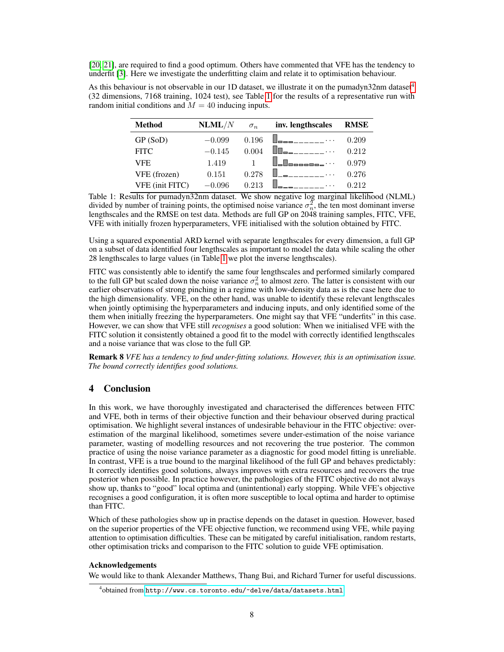[20, 21], are required to find a good optimum. Others have commented that VFE has the tendency to underfit [3]. Here we investigate the underfitting claim and relate it to optimisation behaviour.

As this behaviour is not observable in our 1D dataset, we illustrate it on the pumadyn32nm dataset<sup>4</sup> (32 dimensions, 7168 training, 1024 test), see Table 1 for the results of a representative run with random initial conditions and  $M = 40$  inducing inputs.

| <b>Method</b>          | NLML/N   | $\sigma_n$ | inv. lengthscales | <b>RMSE</b> |
|------------------------|----------|------------|-------------------|-------------|
| GP (SoD)               | $-0.099$ | 0.196      |                   | 0.209       |
| <b>FITC</b>            | $-0.145$ | 0.004      |                   | 0.212       |
| VFE.                   | 1.419    |            |                   | 0.979       |
| VFE (frozen)           | 0.151    | 0.278      |                   | 0.276       |
| <b>VFE</b> (init FITC) | $-0.096$ | 0.213      |                   | 0.212       |

Table 1: Results for pumadyn32nm dataset. We show negative log marginal likelihood (NLML) divided by number of training points, the optimised noise variance  $\sigma_n^2$ , the ten most dominant inverse lengthscales and the RMSE on test data. Methods are full GP on 2048 training samples, FITC, VFE, VFE with initially frozen hyperparameters, VFE initialised with the solution obtained by FITC.

Using a squared exponential ARD kernel with separate lengthscales for every dimension, a full GP on a subset of data identified four lengthscales as important to model the data while scaling the other 28 lengthscales to large values (in Table 1 we plot the inverse lengthscales).

FITC was consistently able to identify the same four lengthscales and performed similarly compared to the full GP but scaled down the noise variance  $\sigma_n^2$  to almost zero. The latter is consistent with our earlier observations of strong pinching in a regime with low-density data as is the case here due to the high dimensionality. VFE, on the other hand, was unable to identify these relevant lengthscales when jointly optimising the hyperparameters and inducing inputs, and only identified some of the them when initially freezing the hyperparameters. One might say that VFE "underfits" in this case. However, we can show that VFE still *recognises* a good solution: When we initialised VFE with the FITC solution it consistently obtained a good fit to the model with correctly identified lengthscales and a noise variance that was close to the full GP.

Remark 8 *VFE has a tendency to find under-fitting solutions. However, this is an optimisation issue. The bound correctly identifies good solutions.*

# 4 Conclusion

In this work, we have thoroughly investigated and characterised the differences between FITC and VFE, both in terms of their objective function and their behaviour observed during practical optimisation. We highlight several instances of undesirable behaviour in the FITC objective: overestimation of the marginal likelihood, sometimes severe under-estimation of the noise variance parameter, wasting of modelling resources and not recovering the true posterior. The common practice of using the noise variance parameter as a diagnostic for good model fitting is unreliable. In contrast, VFE is a true bound to the marginal likelihood of the full GP and behaves predictably: It correctly identifies good solutions, always improves with extra resources and recovers the true posterior when possible. In practice however, the pathologies of the FITC objective do not always show up, thanks to "good" local optima and (unintentional) early stopping. While VFE's objective recognises a good configuration, it is often more susceptible to local optima and harder to optimise than FITC.

Which of these pathologies show up in practise depends on the dataset in question. However, based on the superior properties of the VFE objective function, we recommend using VFE, while paying attention to optimisation difficulties. These can be mitigated by careful initialisation, random restarts, other optimisation tricks and comparison to the FITC solution to guide VFE optimisation.

## Acknowledgements

We would like to thank Alexander Matthews, Thang Bui, and Richard Turner for useful discussions.

 $^4$ obtained from <http://www.cs.toronto.edu/~delve/data/datasets.html>